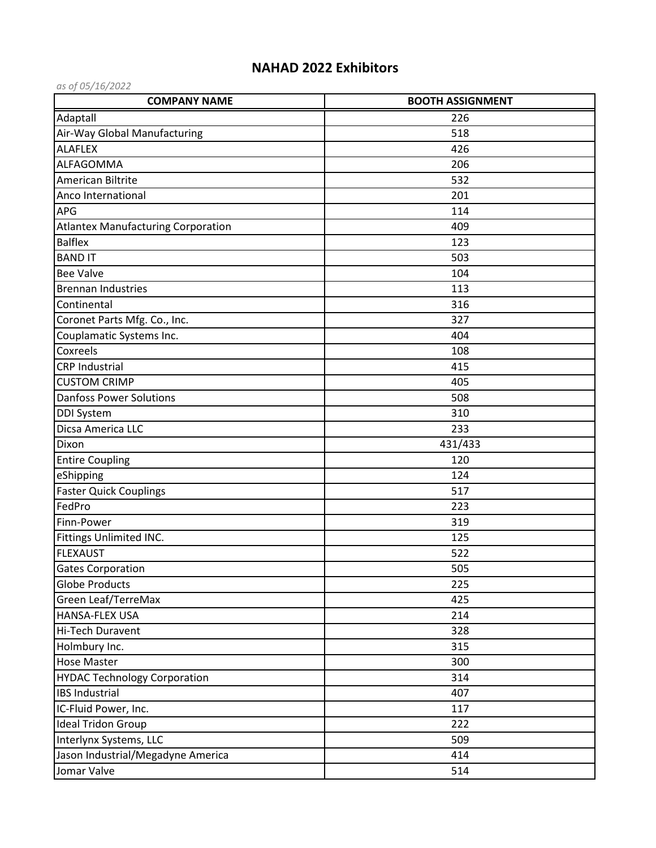## **NAHAD 2022 Exhibitors**

| as of 05/16/2022                          |                         |
|-------------------------------------------|-------------------------|
| <b>COMPANY NAME</b>                       | <b>BOOTH ASSIGNMENT</b> |
| Adaptall                                  | 226                     |
| Air-Way Global Manufacturing              | 518                     |
| <b>ALAFLEX</b>                            | 426                     |
| ALFAGOMMA                                 | 206                     |
| American Biltrite                         | 532                     |
| Anco International                        | 201                     |
| APG                                       | 114                     |
| <b>Atlantex Manufacturing Corporation</b> | 409                     |
| <b>Balflex</b>                            | 123                     |
| <b>BAND IT</b>                            | 503                     |
| <b>Bee Valve</b>                          | 104                     |
| <b>Brennan Industries</b>                 | 113                     |
| Continental                               | 316                     |
| Coronet Parts Mfg. Co., Inc.              | 327                     |
| Couplamatic Systems Inc.                  | 404                     |
| Coxreels                                  | 108                     |
| <b>CRP Industrial</b>                     | 415                     |
| <b>CUSTOM CRIMP</b>                       | 405                     |
| <b>Danfoss Power Solutions</b>            | 508                     |
| <b>DDI System</b>                         | 310                     |
| Dicsa America LLC                         | 233                     |
| Dixon                                     | 431/433                 |
| <b>Entire Coupling</b>                    | 120                     |
| eShipping                                 | 124                     |
| <b>Faster Quick Couplings</b>             | 517                     |
| FedPro                                    | 223                     |
| Finn-Power                                | 319                     |
| Fittings Unlimited INC.                   | 125                     |
| <b>FLEXAUST</b>                           | 522                     |
| <b>Gates Corporation</b>                  | 505                     |
| <b>Globe Products</b>                     | 225                     |
| Green Leaf/TerreMax                       | 425                     |
| HANSA-FLEX USA                            | 214                     |
| Hi-Tech Duravent                          | 328                     |
| Holmbury Inc.                             | 315                     |
| <b>Hose Master</b>                        | 300                     |
| <b>HYDAC Technology Corporation</b>       | 314                     |
| <b>IBS Industrial</b>                     | 407                     |
| IC-Fluid Power, Inc.                      | 117                     |
| <b>Ideal Tridon Group</b>                 | 222                     |
| Interlynx Systems, LLC                    | 509                     |
| Jason Industrial/Megadyne America         | 414                     |
| Jomar Valve                               | 514                     |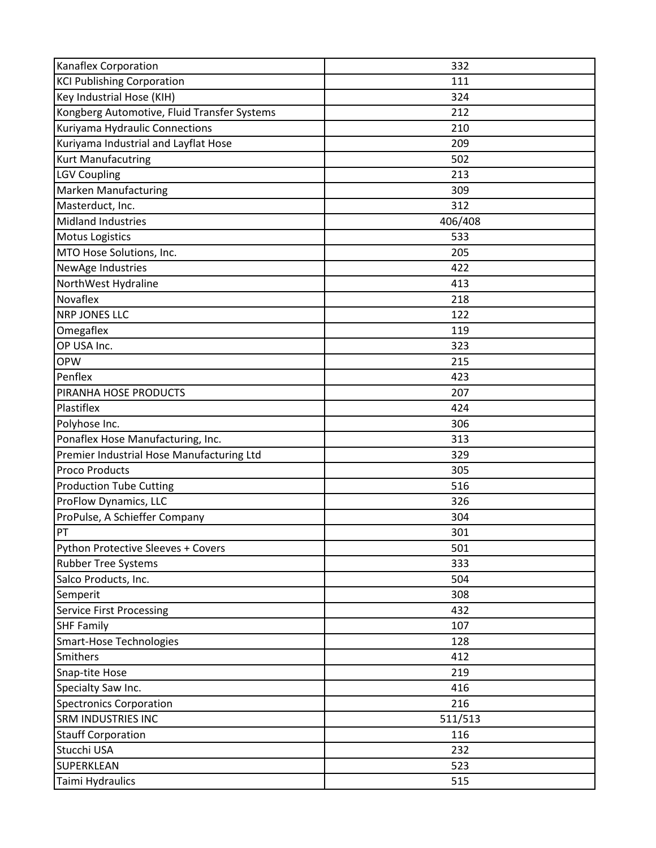| Kanaflex Corporation                        | 332     |
|---------------------------------------------|---------|
| <b>KCI Publishing Corporation</b>           | 111     |
| Key Industrial Hose (KIH)                   | 324     |
| Kongberg Automotive, Fluid Transfer Systems | 212     |
| Kuriyama Hydraulic Connections              | 210     |
| Kuriyama Industrial and Layflat Hose        | 209     |
| <b>Kurt Manufacutring</b>                   | 502     |
| <b>LGV Coupling</b>                         | 213     |
| Marken Manufacturing                        | 309     |
| Masterduct, Inc.                            | 312     |
| <b>Midland Industries</b>                   | 406/408 |
| <b>Motus Logistics</b>                      | 533     |
| MTO Hose Solutions, Inc.                    | 205     |
| NewAge Industries                           | 422     |
| NorthWest Hydraline                         | 413     |
| Novaflex                                    | 218     |
| <b>NRP JONES LLC</b>                        | 122     |
| Omegaflex                                   | 119     |
| OP USA Inc.                                 | 323     |
| <b>OPW</b>                                  | 215     |
| Penflex                                     | 423     |
| PIRANHA HOSE PRODUCTS                       | 207     |
| Plastiflex                                  | 424     |
| Polyhose Inc.                               | 306     |
| Ponaflex Hose Manufacturing, Inc.           | 313     |
| Premier Industrial Hose Manufacturing Ltd   | 329     |
| <b>Proco Products</b>                       | 305     |
| <b>Production Tube Cutting</b>              | 516     |
| ProFlow Dynamics, LLC                       | 326     |
| ProPulse, A Schieffer Company               | 304     |
| PT                                          | 301     |
| Python Protective Sleeves + Covers          | 501     |
| <b>Rubber Tree Systems</b>                  | 333     |
| Salco Products, Inc.                        | 504     |
| Semperit                                    | 308     |
| <b>Service First Processing</b>             | 432     |
| <b>SHF Family</b>                           | 107     |
| <b>Smart-Hose Technologies</b>              | 128     |
| Smithers                                    | 412     |
| Snap-tite Hose                              | 219     |
| Specialty Saw Inc.                          | 416     |
| <b>Spectronics Corporation</b>              | 216     |
| <b>SRM INDUSTRIES INC</b>                   | 511/513 |
| <b>Stauff Corporation</b>                   | 116     |
| Stucchi USA                                 | 232     |
| SUPERKLEAN                                  | 523     |
| Taimi Hydraulics                            | 515     |